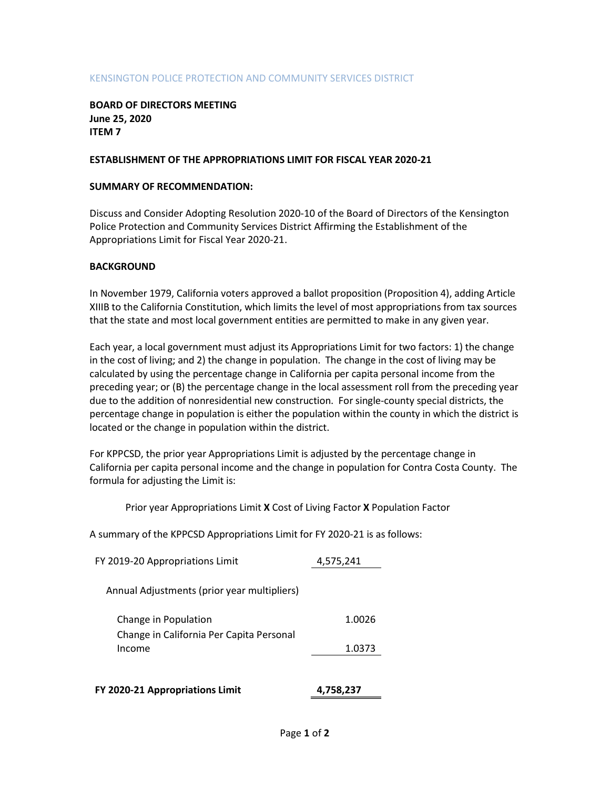### KENSINGTON POLICE PROTECTION AND COMMUNITY SERVICES DISTRICT

### BOARD OF DIRECTORS MEETING June 25, 2020 ITEM 7

### ESTABLISHMENT OF THE APPROPRIATIONS LIMIT FOR FISCAL YEAR 2020-21

### SUMMARY OF RECOMMENDATION:

Discuss and Consider Adopting Resolution 2020-10 of the Board of Directors of the Kensington Police Protection and Community Services District Affirming the Establishment of the Appropriations Limit for Fiscal Year 2020-21.

### **BACKGROUND**

In November 1979, California voters approved a ballot proposition (Proposition 4), adding Article XIIIB to the California Constitution, which limits the level of most appropriations from tax sources that the state and most local government entities are permitted to make in any given year.

Each year, a local government must adjust its Appropriations Limit for two factors: 1) the change in the cost of living; and 2) the change in population. The change in the cost of living may be calculated by using the percentage change in California per capita personal income from the preceding year; or (B) the percentage change in the local assessment roll from the preceding year due to the addition of nonresidential new construction. For single-county special districts, the percentage change in population is either the population within the county in which the district is located or the change in population within the district.

For KPPCSD, the prior year Appropriations Limit is adjusted by the percentage change in California per capita personal income and the change in population for Contra Costa County. The formula for adjusting the Limit is:

Prior year Appropriations Limit X Cost of Living Factor X Population Factor

A summary of the KPPCSD Appropriations Limit for FY 2020-21 is as follows:

| FY 2020-21 Appropriations Limit                                  | 4,758,237 |
|------------------------------------------------------------------|-----------|
| Income                                                           | 1.0373    |
| Change in Population<br>Change in California Per Capita Personal | 1.0026    |
| Annual Adjustments (prior year multipliers)                      |           |
| FY 2019-20 Appropriations Limit                                  | 4,575,241 |